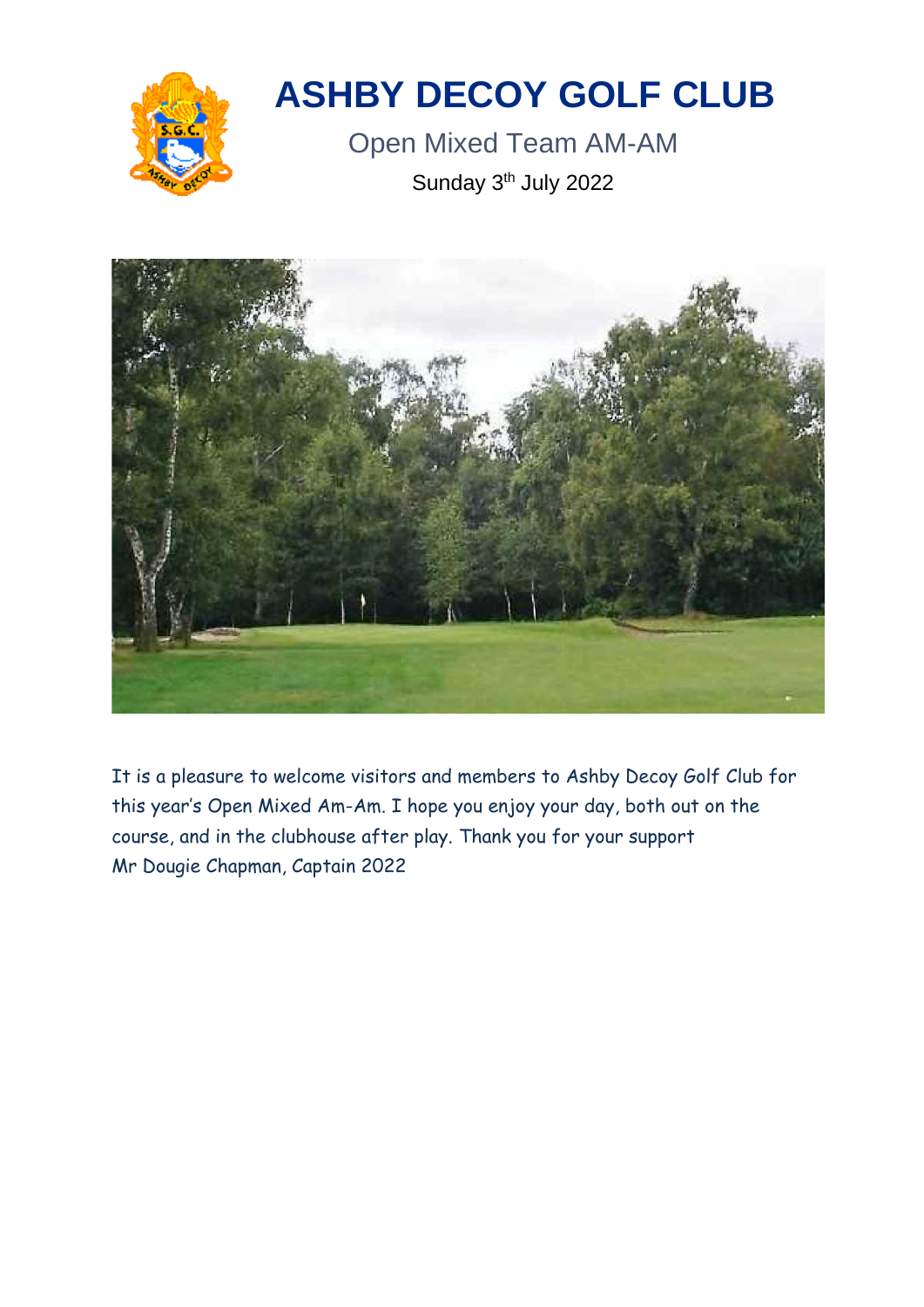

# **ASHBY DECOY GOLF CLUB**

Open Mixed Team AM-AM Sunday 3<sup>th</sup> July 2022



It is a pleasure to welcome visitors and members to Ashby Decoy Golf Club for this year's Open Mixed Am-Am. I hope you enjoy your day, both out on the course, and in the clubhouse after play. Thank you for your support Mr Dougie Chapman, Captain 2022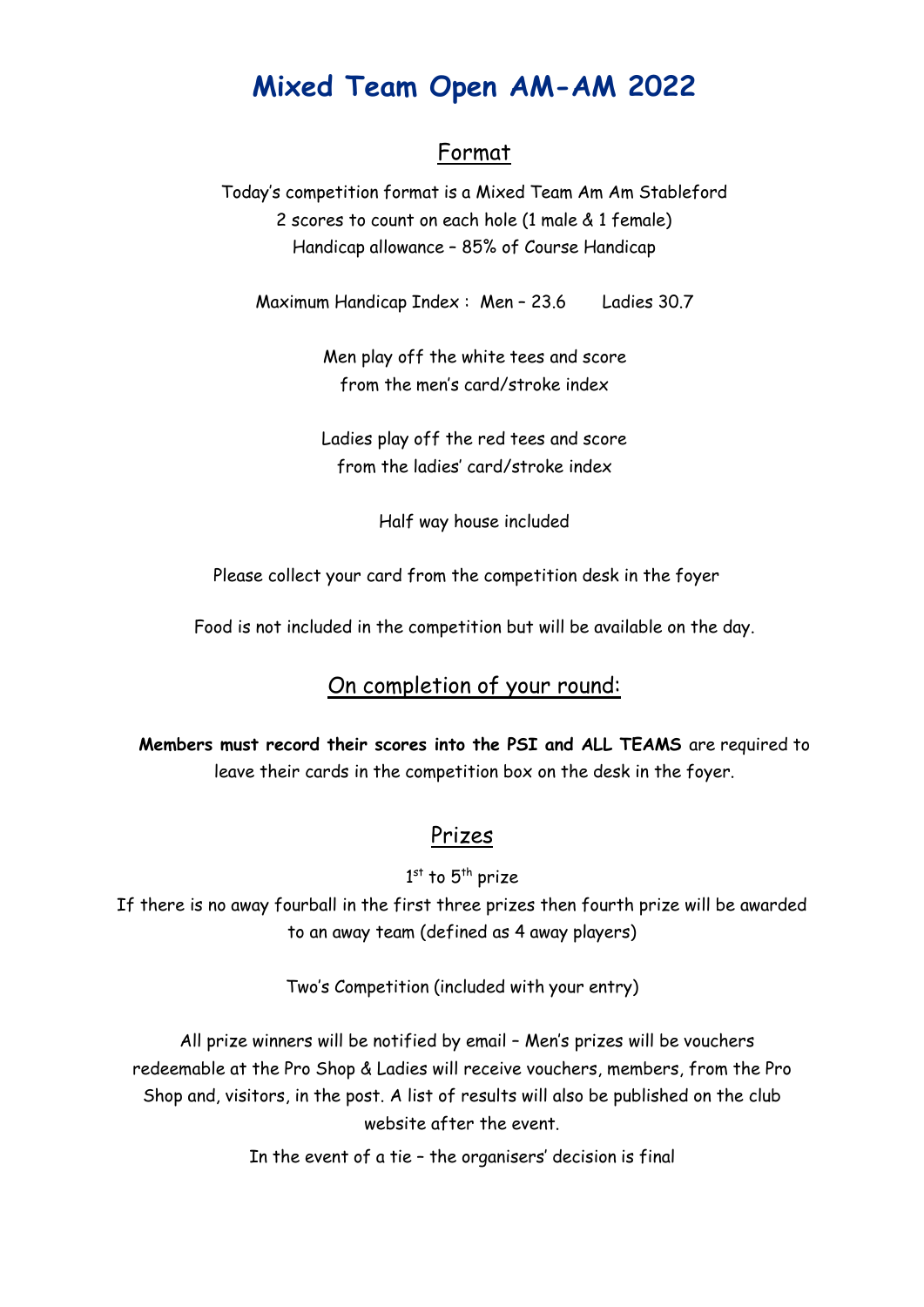# **Mixed Team Open AM-AM 2022**

# Format

Today's competition format is a Mixed Team Am Am Stableford 2 scores to count on each hole (1 male & 1 female) Handicap allowance – 85% of Course Handicap

Maximum Handicap Index : Men – 23.6 Ladies 30.7

Men play off the white tees and score from the men's card/stroke index

Ladies play off the red tees and score from the ladies' card/stroke index

Half way house included

Please collect your card from the competition desk in the foyer

Food is not included in the competition but will be available on the day.

# On completion of your round:

**Members must record their scores into the PSI and ALL TEAMS** are required to leave their cards in the competition box on the desk in the foyer.

### Prizes

 $1^{\rm st}$  to  $5^{\rm th}$  prize

If there is no away fourball in the first three prizes then fourth prize will be awarded to an away team (defined as 4 away players)

Two's Competition (included with your entry)

All prize winners will be notified by email – Men's prizes will be vouchers redeemable at the Pro Shop & Ladies will receive vouchers, members, from the Pro Shop and, visitors, in the post. A list of results will also be published on the club website after the event.

In the event of a tie – the organisers' decision is final